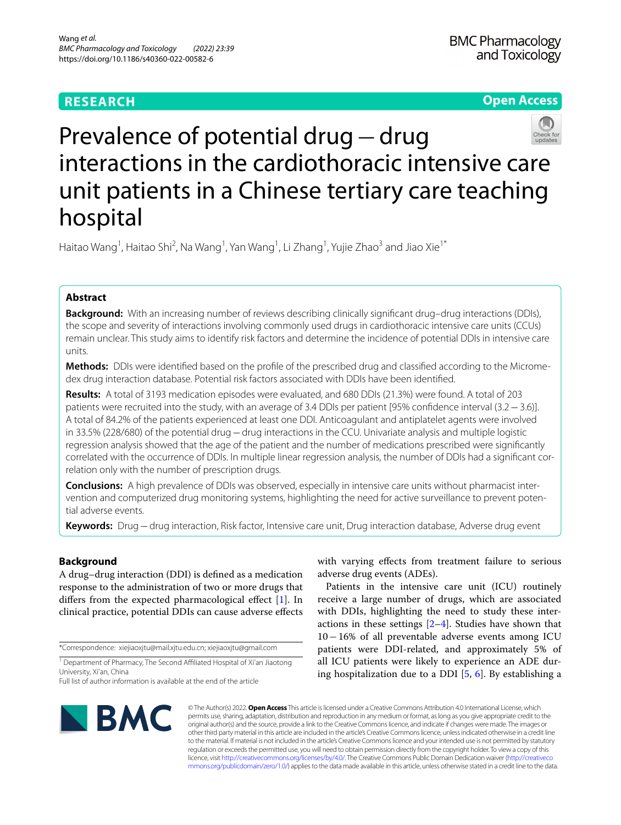## **RESEARCH**

## **Open Access**



# Prevalence of potential drug−drug interactions in the cardiothoracic intensive care unit patients in a Chinese tertiary care teaching hospital

Haitao Wang<sup>1</sup>, Haitao Shi<sup>2</sup>, Na Wang<sup>1</sup>, Yan Wang<sup>1</sup>, Li Zhang<sup>1</sup>, Yujie Zhao<sup>3</sup> and Jiao Xie<sup>1\*</sup>

## **Abstract**

**Background:** With an increasing number of reviews describing clinically signifcant drug–drug interactions (DDIs), the scope and severity of interactions involving commonly used drugs in cardiothoracic intensive care units (CCUs) remain unclear. This study aims to identify risk factors and determine the incidence of potential DDIs in intensive care units.

**Methods:** DDIs were identifed based on the profle of the prescribed drug and classifed according to the Micromedex drug interaction database. Potential risk factors associated with DDIs have been identifed.

**Results:** A total of 3193 medication episodes were evaluated, and 680 DDIs (21.3%) were found. A total of 203 patients were recruited into the study, with an average of 3.4 DDIs per patient [95% confdence interval (3.2−3.6)]. A total of 84.2% of the patients experienced at least one DDI. Anticoagulant and antiplatelet agents were involved in 33.5% (228/680) of the potential drug−drug interactions in the CCU. Univariate analysis and multiple logistic regression analysis showed that the age of the patient and the number of medications prescribed were signifcantly correlated with the occurrence of DDIs. In multiple linear regression analysis, the number of DDIs had a signifcant correlation only with the number of prescription drugs.

**Conclusions:** A high prevalence of DDIs was observed, especially in intensive care units without pharmacist intervention and computerized drug monitoring systems, highlighting the need for active surveillance to prevent potential adverse events.

**Keywords:** Drug−drug interaction, Risk factor, Intensive care unit, Drug interaction database, Adverse drug event

### **Background**

A drug–drug interaction (DDI) is defned as a medication response to the administration of two or more drugs that difers from the expected pharmacological efect [[1\]](#page-4-0). In clinical practice, potential DDIs can cause adverse efects

\*Correspondence: xiejiaoxjtu@mail.xjtu.edu.cn; xiejiaoxjtu@gmail.com

<sup>1</sup> Department of Pharmacy, The Second Affiliated Hospital of Xi'an Jiaotong University, Xi'an, China

Full list of author information is available at the end of the article

with varying efects from treatment failure to serious adverse drug events (ADEs).

Patients in the intensive care unit (ICU) routinely receive a large number of drugs, which are associated with DDIs, highlighting the need to study these interactions in these settings  $[2-4]$  $[2-4]$ . Studies have shown that 10−16% of all preventable adverse events among ICU patients were DDI-related, and approximately 5% of all ICU patients were likely to experience an ADE during hospitalization due to a DDI  $[5, 6]$  $[5, 6]$  $[5, 6]$  $[5, 6]$ . By establishing a



© The Author(s) 2022. **Open Access** This article is licensed under a Creative Commons Attribution 4.0 International License, which permits use, sharing, adaptation, distribution and reproduction in any medium or format, as long as you give appropriate credit to the original author(s) and the source, provide a link to the Creative Commons licence, and indicate if changes were made. The images or other third party material in this article are included in the article's Creative Commons licence, unless indicated otherwise in a credit line to the material. If material is not included in the article's Creative Commons licence and your intended use is not permitted by statutory regulation or exceeds the permitted use, you will need to obtain permission directly from the copyright holder. To view a copy of this licence, visit [http://creativecommons.org/licenses/by/4.0/.](http://creativecommons.org/licenses/by/4.0/) The Creative Commons Public Domain Dedication waiver ([http://creativeco](http://creativecommons.org/publicdomain/zero/1.0/) [mmons.org/publicdomain/zero/1.0/](http://creativecommons.org/publicdomain/zero/1.0/)) applies to the data made available in this article, unless otherwise stated in a credit line to the data.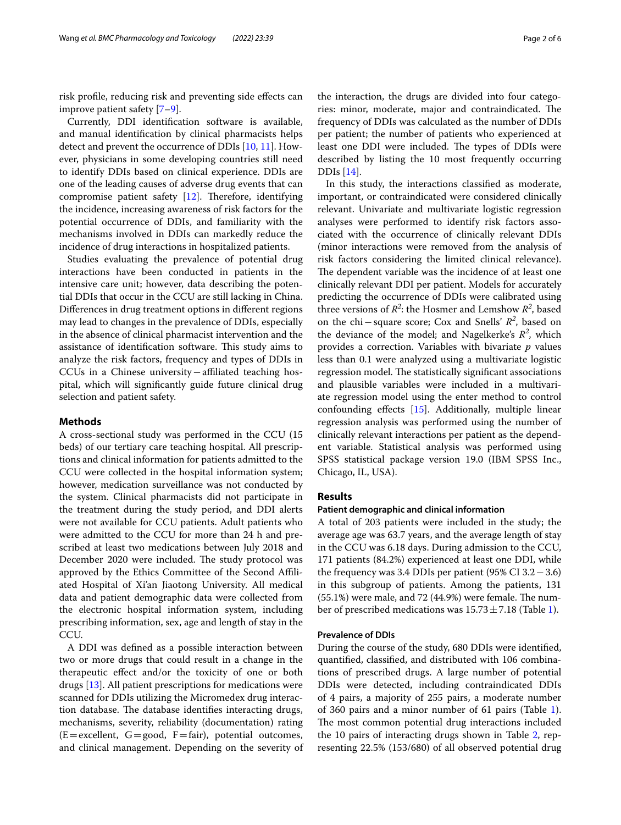risk profle, reducing risk and preventing side efects can improve patient safety [[7–](#page-4-5)[9](#page-4-6)].

Currently, DDI identifcation software is available, and manual identifcation by clinical pharmacists helps detect and prevent the occurrence of DDIs [[10](#page-4-7), [11\]](#page-4-8). However, physicians in some developing countries still need to identify DDIs based on clinical experience. DDIs are one of the leading causes of adverse drug events that can compromise patient safety  $[12]$  $[12]$  $[12]$ . Therefore, identifying the incidence, increasing awareness of risk factors for the potential occurrence of DDIs, and familiarity with the mechanisms involved in DDIs can markedly reduce the incidence of drug interactions in hospitalized patients.

Studies evaluating the prevalence of potential drug interactions have been conducted in patients in the intensive care unit; however, data describing the potential DDIs that occur in the CCU are still lacking in China. Diferences in drug treatment options in diferent regions may lead to changes in the prevalence of DDIs, especially in the absence of clinical pharmacist intervention and the assistance of identification software. This study aims to analyze the risk factors, frequency and types of DDIs in CCUs in a Chinese university−afliated teaching hospital, which will signifcantly guide future clinical drug selection and patient safety.

#### **Methods**

A cross-sectional study was performed in the CCU (15 beds) of our tertiary care teaching hospital. All prescriptions and clinical information for patients admitted to the CCU were collected in the hospital information system; however, medication surveillance was not conducted by the system. Clinical pharmacists did not participate in the treatment during the study period, and DDI alerts were not available for CCU patients. Adult patients who were admitted to the CCU for more than 24 h and prescribed at least two medications between July 2018 and December 2020 were included. The study protocol was approved by the Ethics Committee of the Second Afliated Hospital of Xi'an Jiaotong University. All medical data and patient demographic data were collected from the electronic hospital information system, including prescribing information, sex, age and length of stay in the CCU.

A DDI was defned as a possible interaction between two or more drugs that could result in a change in the therapeutic efect and/or the toxicity of one or both drugs [\[13](#page-4-10)]. All patient prescriptions for medications were scanned for DDIs utilizing the Micromedex drug interaction database. The database identifies interacting drugs, mechanisms, severity, reliability (documentation) rating  $(E=excellent, G=good, F=fair)$ , potential outcomes, and clinical management. Depending on the severity of the interaction, the drugs are divided into four categories: minor, moderate, major and contraindicated. The frequency of DDIs was calculated as the number of DDIs per patient; the number of patients who experienced at least one DDI were included. The types of DDIs were described by listing the 10 most frequently occurring DDIs [[14\]](#page-4-11).

In this study, the interactions classifed as moderate, important, or contraindicated were considered clinically relevant. Univariate and multivariate logistic regression analyses were performed to identify risk factors associated with the occurrence of clinically relevant DDIs (minor interactions were removed from the analysis of risk factors considering the limited clinical relevance). The dependent variable was the incidence of at least one clinically relevant DDI per patient. Models for accurately predicting the occurrence of DDIs were calibrated using three versions of  $R^2$ : the Hosmer and Lemshow  $R^2$ , based on the chi−square score; Cox and Snells' *R<sup>2</sup>* , based on the deviance of the model; and Nagelkerke's  $R^2$ , which provides a correction. Variables with bivariate *p* values less than 0.1 were analyzed using a multivariate logistic regression model. The statistically significant associations and plausible variables were included in a multivariate regression model using the enter method to control confounding efects [\[15\]](#page-4-12). Additionally, multiple linear regression analysis was performed using the number of clinically relevant interactions per patient as the dependent variable. Statistical analysis was performed using SPSS statistical package version 19.0 (IBM SPSS Inc., Chicago, IL, USA).

#### **Results**

#### **Patient demographic and clinical information**

A total of 203 patients were included in the study; the average age was 63.7 years, and the average length of stay in the CCU was 6.18 days. During admission to the CCU, 171 patients (84.2%) experienced at least one DDI, while the frequency was 3.4 DDIs per patient (95% CI 3.2−3.6) in this subgroup of patients. Among the patients, 131  $(55.1%)$  were male, and 72 (44.9%) were female. The number of prescribed medications was  $15.73 \pm 7.18$  (Table [1\)](#page-2-0).

#### **Prevalence of DDIs**

During the course of the study, 680 DDIs were identifed, quantifed, classifed, and distributed with 106 combinations of prescribed drugs. A large number of potential DDIs were detected, including contraindicated DDIs of 4 pairs, a majority of 255 pairs, a moderate number of 360 pairs and a minor number of 61 pairs (Table [1](#page-2-0)). The most common potential drug interactions included the 10 pairs of interacting drugs shown in Table [2,](#page-2-1) representing 22.5% (153/680) of all observed potential drug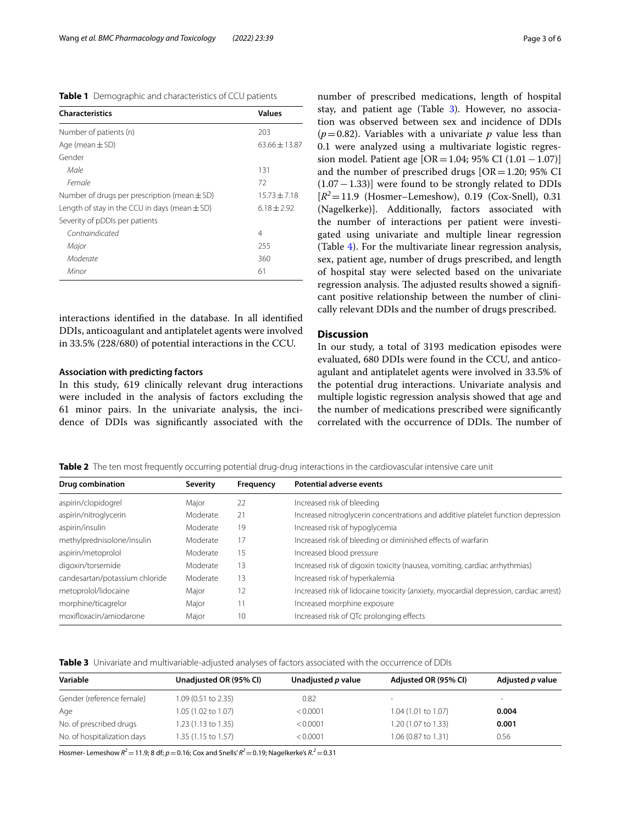<span id="page-2-0"></span>

|  | <b>Table 1</b> Demographic and characteristics of CCU patients |
|--|----------------------------------------------------------------|
|--|----------------------------------------------------------------|

| <b>Characteristics</b>                            | <b>Values</b>   |
|---------------------------------------------------|-----------------|
| Number of patients (n)                            | 203             |
| Age (mean $\pm$ SD)                               | $63.66 + 13.87$ |
| Gender                                            |                 |
| Male                                              | 131             |
| Female                                            | 72              |
| Number of drugs per prescription (mean $\pm$ SD)  | $15.73 + 7.18$  |
| Length of stay in the CCU in days (mean $\pm$ SD) | $6.18 + 2.92$   |
| Severity of pDDIs per patients                    |                 |
| Contraindicated                                   | 4               |
| Major                                             | 255             |
| Moderate                                          | 360             |
| Minor                                             | 61              |

interactions identifed in the database. In all identifed DDIs, anticoagulant and antiplatelet agents were involved in 33.5% (228/680) of potential interactions in the CCU.

#### **Association with predicting factors**

In this study, 619 clinically relevant drug interactions were included in the analysis of factors excluding the 61 minor pairs. In the univariate analysis, the incidence of DDIs was signifcantly associated with the number of prescribed medications, length of hospital stay, and patient age (Table [3\)](#page-2-2). However, no association was observed between sex and incidence of DDIs  $(p=0.82)$ . Variables with a univariate p value less than 0.1 were analyzed using a multivariate logistic regression model. Patient age [OR=1.04; 95% CI (1.01−1.07)] and the number of prescribed drugs  $[OR=1.20; 95%$  CI (1.07−1.33)] were found to be strongly related to DDIs  $[R^2=11.9$  (Hosmer–Lemeshow), 0.19 (Cox-Snell), 0.31 (Nagelkerke)]. Additionally, factors associated with the number of interactions per patient were investigated using univariate and multiple linear regression (Table [4](#page-3-0)). For the multivariate linear regression analysis, sex, patient age, number of drugs prescribed, and length of hospital stay were selected based on the univariate regression analysis. The adjusted results showed a significant positive relationship between the number of clinically relevant DDIs and the number of drugs prescribed.

#### **Discussion**

In our study, a total of 3193 medication episodes were evaluated, 680 DDIs were found in the CCU, and anticoagulant and antiplatelet agents were involved in 33.5% of the potential drug interactions. Univariate analysis and multiple logistic regression analysis showed that age and the number of medications prescribed were signifcantly correlated with the occurrence of DDIs. The number of

<span id="page-2-1"></span>**Table 2** The ten most frequently occurring potential drug-drug interactions in the cardiovascular intensive care unit

| Drug combination               | <b>Severity</b> | Frequency | <b>Potential adverse events</b>                                                       |  |
|--------------------------------|-----------------|-----------|---------------------------------------------------------------------------------------|--|
| aspirin/clopidogrel            | Major           | 22        | Increased risk of bleeding                                                            |  |
| aspirin/nitroglycerin          | Moderate        | 21        | Increased nitroglycerin concentrations and additive platelet function depression      |  |
| aspirin/insulin                | Moderate        | 19        | Increased risk of hypoglycemia                                                        |  |
| methylprednisolone/insulin     | Moderate        | 17        | Increased risk of bleeding or diminished effects of warfarin                          |  |
| aspirin/metoprolol             | Moderate        | 15        | Increased blood pressure                                                              |  |
| digoxin/torsemide              | Moderate        | 13        | Increased risk of digoxin toxicity (nausea, vomiting, cardiac arrhythmias)            |  |
| candesartan/potassium chloride | Moderate        | 13        | Increased risk of hyperkalemia                                                        |  |
| metoprolol/lidocaine           | Major           | 12        | Increased risk of lidocaine toxicity (anxiety, myocardial depression, cardiac arrest) |  |
| morphine/ticagrelor            | Major           |           | Increased morphine exposure                                                           |  |
| moxifloxacin/amiodarone        | Major           | 10        | Increased risk of QTc prolonging effects                                              |  |

<span id="page-2-2"></span>

| Variable                    | Unadjusted OR (95% CI) | Unadjusted p value | Adjusted OR (95% CI) | Adjusted p value |
|-----------------------------|------------------------|--------------------|----------------------|------------------|
| Gender (reference female)   | 1.09 (0.51 to 2.35)    | 0.82               | $\,$                 | -                |
| Age                         | 1.05 (1.02 to 1.07)    | < 0.0001           | 1.04 (1.01 to 1.07)  | 0.004            |
| No. of prescribed drugs     | 1.23 (1.13 to 1.35)    | < 0.0001           | 1.20 (1.07 to 1.33)  | 0.001            |
| No. of hospitalization days | 1.35 (1.15 to 1.57)    | < 0.0001           | 1.06 (0.87 to 1.31)  | 0.56             |

Hosmer- Lemeshow *R2*=11.9; 8 df; *p*=0.16; Cox and Snells' *R2*=0.19; Nagelkerke's *R*. *<sup>2</sup>*=0.31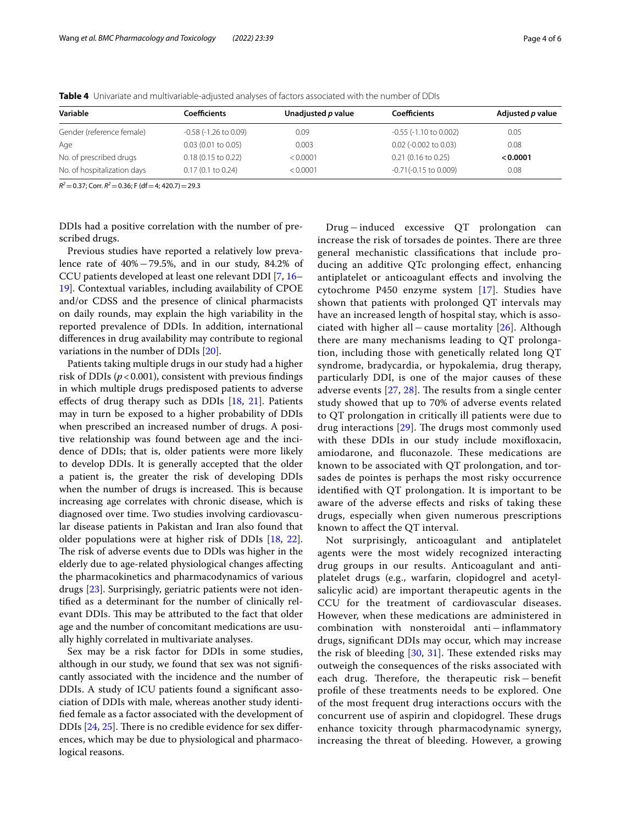| Variable                    | Coefficients               | Unadjusted p value | Coefficients                | Adjusted p value |
|-----------------------------|----------------------------|--------------------|-----------------------------|------------------|
| Gender (reference female)   | $-0.58$ ( $-1.26$ to 0.09) | 0.09               | $-0.55$ ( $-1.10$ to 0.002) | 0.05             |
| Age                         | $0.03$ (0.01 to 0.05)      | 0.003              | $0.02$ (-0.002 to 0.03)     | 0.08             |
| No. of prescribed drugs     | $0.18$ (0.15 to 0.22)      | < 0.0001           | $0.21$ (0.16 to 0.25)       | < 0.0001         |
| No. of hospitalization days | $0.17(0.1)$ to $0.24$ )    | < 0.0001           | $-0.71(-0.15$ to 0.009)     | 0.08             |

<span id="page-3-0"></span>**Table 4** Univariate and multivariable-adjusted analyses of factors associated with the number of DDIs

 $R^2$  = 0.37; Corr.  $R^2$  = 0.36; F (df = 4; 420.7) = 29.3

DDIs had a positive correlation with the number of prescribed drugs.

Previous studies have reported a relatively low prevalence rate of 40%−79.5%, and in our study, 84.2% of CCU patients developed at least one relevant DDI [\[7](#page-4-5), [16–](#page-5-0) [19\]](#page-5-1). Contextual variables, including availability of CPOE and/or CDSS and the presence of clinical pharmacists on daily rounds, may explain the high variability in the reported prevalence of DDIs. In addition, international diferences in drug availability may contribute to regional variations in the number of DDIs [\[20\]](#page-5-2).

Patients taking multiple drugs in our study had a higher risk of DDIs ( $p < 0.001$ ), consistent with previous findings in which multiple drugs predisposed patients to adverse efects of drug therapy such as DDIs [\[18](#page-5-3), [21](#page-5-4)]. Patients may in turn be exposed to a higher probability of DDIs when prescribed an increased number of drugs. A positive relationship was found between age and the incidence of DDIs; that is, older patients were more likely to develop DDIs. It is generally accepted that the older a patient is, the greater the risk of developing DDIs when the number of drugs is increased. This is because increasing age correlates with chronic disease, which is diagnosed over time. Two studies involving cardiovascular disease patients in Pakistan and Iran also found that older populations were at higher risk of DDIs [\[18](#page-5-3), [22](#page-5-5)]. The risk of adverse events due to DDls was higher in the elderly due to age-related physiological changes afecting the pharmacokinetics and pharmacodynamics of various drugs [[23\]](#page-5-6). Surprisingly, geriatric patients were not identifed as a determinant for the number of clinically relevant DDIs. This may be attributed to the fact that older age and the number of concomitant medications are usually highly correlated in multivariate analyses.

Sex may be a risk factor for DDIs in some studies, although in our study, we found that sex was not signifcantly associated with the incidence and the number of DDIs. A study of ICU patients found a signifcant association of DDIs with male, whereas another study identifed female as a factor associated with the development of DDIs  $[24, 25]$  $[24, 25]$  $[24, 25]$  $[24, 25]$ . There is no credible evidence for sex differences, which may be due to physiological and pharmacological reasons.

Drug−induced excessive QT prolongation can increase the risk of torsades de pointes. There are three general mechanistic classifcations that include producing an additive QTc prolonging efect, enhancing antiplatelet or anticoagulant efects and involving the cytochrome P450 enzyme system [\[17](#page-5-9)]. Studies have shown that patients with prolonged QT intervals may have an increased length of hospital stay, which is associated with higher all−cause mortality [[26\]](#page-5-10). Although there are many mechanisms leading to QT prolongation, including those with genetically related long QT syndrome, bradycardia, or hypokalemia, drug therapy, particularly DDI, is one of the major causes of these adverse events  $[27, 28]$  $[27, 28]$  $[27, 28]$  $[27, 28]$  $[27, 28]$ . The results from a single center study showed that up to 70% of adverse events related to QT prolongation in critically ill patients were due to drug interactions  $[29]$  $[29]$ . The drugs most commonly used with these DDIs in our study include moxifoxacin, amiodarone, and fluconazole. These medications are known to be associated with QT prolongation, and torsades de pointes is perhaps the most risky occurrence identifed with QT prolongation. It is important to be aware of the adverse efects and risks of taking these drugs, especially when given numerous prescriptions known to afect the QT interval.

Not surprisingly, anticoagulant and antiplatelet agents were the most widely recognized interacting drug groups in our results. Anticoagulant and antiplatelet drugs (e.g., warfarin, clopidogrel and acetylsalicylic acid) are important therapeutic agents in the CCU for the treatment of cardiovascular diseases. However, when these medications are administered in combination with nonsteroidal anti−infammatory drugs, signifcant DDIs may occur, which may increase the risk of bleeding  $[30, 31]$  $[30, 31]$  $[30, 31]$  $[30, 31]$ . These extended risks may outweigh the consequences of the risks associated with each drug. Therefore, the therapeutic risk − benefit profle of these treatments needs to be explored. One of the most frequent drug interactions occurs with the concurrent use of aspirin and clopidogrel. These drugs enhance toxicity through pharmacodynamic synergy, increasing the threat of bleeding. However, a growing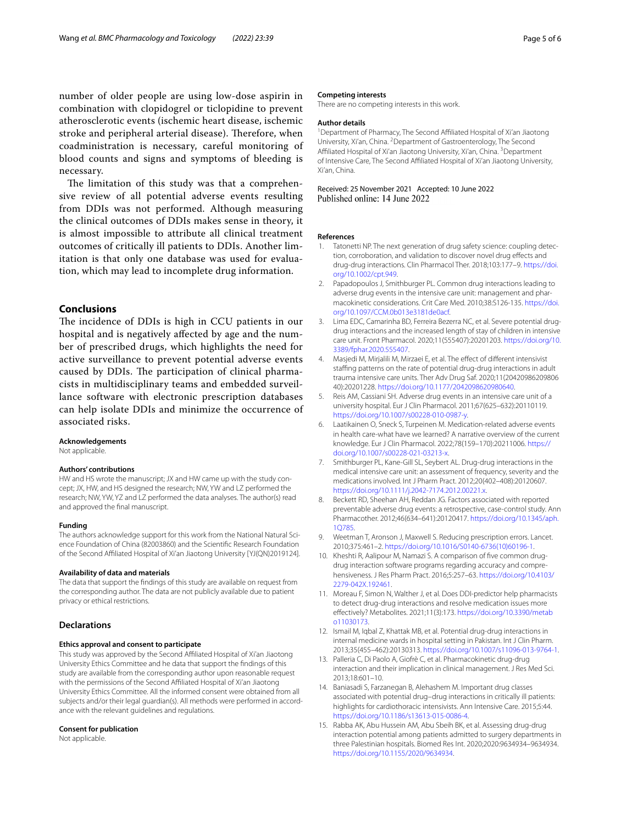number of older people are using low-dose aspirin in combination with clopidogrel or ticlopidine to prevent atherosclerotic events (ischemic heart disease, ischemic stroke and peripheral arterial disease). Therefore, when coadministration is necessary, careful monitoring of blood counts and signs and symptoms of bleeding is necessary.

The limitation of this study was that a comprehensive review of all potential adverse events resulting from DDIs was not performed. Although measuring the clinical outcomes of DDIs makes sense in theory, it is almost impossible to attribute all clinical treatment outcomes of critically ill patients to DDIs. Another limitation is that only one database was used for evaluation, which may lead to incomplete drug information.

#### **Conclusions**

The incidence of DDIs is high in CCU patients in our hospital and is negatively afected by age and the number of prescribed drugs, which highlights the need for active surveillance to prevent potential adverse events caused by DDIs. The participation of clinical pharmacists in multidisciplinary teams and embedded surveillance software with electronic prescription databases can help isolate DDIs and minimize the occurrence of associated risks.

#### **Acknowledgements**

Not applicable.

#### **Authors' contributions**

HW and HS wrote the manuscript; JX and HW came up with the study concept; JX, HW, and HS designed the research; NW, YW and LZ performed the research; NW, YW, YZ and LZ performed the data analyses. The author(s) read and approved the fnal manuscript.

#### **Funding**

The authors acknowledge support for this work from the National Natural Science Foundation of China (82003860) and the Scientifc Research Foundation of the Second Afliated Hospital of Xi'an Jiaotong University [YJ(QN)2019124].

#### **Availability of data and materials**

The data that support the fndings of this study are available on request from the corresponding author. The data are not publicly available due to patient privacy or ethical restrictions.

#### **Declarations**

#### **Ethics approval and consent to participate**

This study was approved by the Second Afliated Hospital of Xi'an Jiaotong University Ethics Committee and he data that support the fndings of this study are available from the corresponding author upon reasonable request with the permissions of the Second Afliated Hospital of Xi'an Jiaotong University Ethics Committee. All the informed consent were obtained from all subjects and/or their legal guardian(s). All methods were performed in accordance with the relevant guidelines and regulations.

#### **Consent for publication**

Not applicable.

#### **Competing interests**

There are no competing interests in this work.

#### **Author details**

<sup>1</sup> Department of Pharmacy, The Second Affiliated Hospital of Xi'an Jiaotong University, Xi'an, China. <sup>2</sup> Department of Gastroenterology, The Second Affiliated Hospital of Xi'an Jiaotong University, Xi'an, China. <sup>3</sup> Department of Intensive Care, The Second Afliated Hospital of Xi'an Jiaotong University, Xi'an, China.

## Received: 25 November 2021 Accepted: 10 June 2022

#### **References**

- <span id="page-4-0"></span>1. Tatonetti NP. The next generation of drug safety science: coupling detection, corroboration, and validation to discover novel drug efects and drug-drug interactions. Clin Pharmacol Ther. 2018;103:177–9. [https://doi.](https://doi.org/10.1002/cpt.949) [org/10.1002/cpt.949.](https://doi.org/10.1002/cpt.949)
- <span id="page-4-1"></span>2. Papadopoulos J, Smithburger PL. Common drug interactions leading to adverse drug events in the intensive care unit: management and pharmacokinetic considerations. Crit Care Med. 2010;38:S126-135. [https://doi.](https://doi.org/10.1097/CCM.0b013e3181de0acf) [org/10.1097/CCM.0b013e3181de0acf.](https://doi.org/10.1097/CCM.0b013e3181de0acf)
- 3. Lima EDC, Camarinha BD, Ferreira Bezerra NC, et al. Severe potential drugdrug interactions and the increased length of stay of children in intensive care unit. Front Pharmacol. 2020;11(555407):20201203. [https://doi.org/10.](https://doi.org/10.3389/fphar.2020.555407) [3389/fphar.2020.555407.](https://doi.org/10.3389/fphar.2020.555407)
- <span id="page-4-2"></span>4. Masjedi M, Mirjalili M, Mirzaei E, et al. The effect of different intensivist staffing patterns on the rate of potential drug-drug interactions in adult trauma intensive care units. Ther Adv Drug Saf. 2020;11(20420986209806 40):20201228. [https://doi.org/10.1177/2042098620980640.](https://doi.org/10.1177/2042098620980640)
- <span id="page-4-3"></span>5. Reis AM, Cassiani SH. Adverse drug events in an intensive care unit of a university hospital. Eur J Clin Pharmacol. 2011;67(625–632):20110119. [https://doi.org/10.1007/s00228-010-0987-y.](https://doi.org/10.1007/s00228-010-0987-y)
- <span id="page-4-4"></span>6. Laatikainen O, Sneck S, Turpeinen M. Medication-related adverse events in health care-what have we learned? A narrative overview of the current knowledge. Eur J Clin Pharmacol. 2022;78(159–170):20211006. [https://](https://doi.org/10.1007/s00228-021-03213-x) [doi.org/10.1007/s00228-021-03213-x.](https://doi.org/10.1007/s00228-021-03213-x)
- <span id="page-4-5"></span>7. Smithburger PL, Kane-Gill SL, Seybert AL. Drug-drug interactions in the medical intensive care unit: an assessment of frequency, severity and the medications involved. Int J Pharm Pract. 2012;20(402–408):20120607. [https://doi.org/10.1111/j.2042-7174.2012.00221.x.](https://doi.org/10.1111/j.2042-7174.2012.00221.x)
- 8. Beckett RD, Sheehan AH, Reddan JG. Factors associated with reported preventable adverse drug events: a retrospective, case-control study. Ann Pharmacother. 2012;46(634–641):20120417. [https://doi.org/10.1345/aph.](https://doi.org/10.1345/aph.1Q785) [1Q785](https://doi.org/10.1345/aph.1Q785).
- <span id="page-4-6"></span>9. Weetman T, Aronson J, Maxwell S. Reducing prescription errors. Lancet. 2010;375:461–2. [https://doi.org/10.1016/S0140-6736\(10\)60196-1.](https://doi.org/10.1016/S0140-6736(10)60196-1)
- <span id="page-4-7"></span>10. Kheshti R, Aalipour M, Namazi S. A comparison of fve common drugdrug interaction software programs regarding accuracy and comprehensiveness. J Res Pharm Pract. 2016;5:257–63. [https://doi.org/10.4103/](https://doi.org/10.4103/2279-042X.192461) [2279-042X.192461.](https://doi.org/10.4103/2279-042X.192461)
- <span id="page-4-8"></span>11. Moreau F, Simon N, Walther J, et al. Does DDI-predictor help pharmacists to detect drug-drug interactions and resolve medication issues more efectively? Metabolites. 2021;11(3):173. [https://doi.org/10.3390/metab](https://doi.org/10.3390/metabo11030173) [o11030173.](https://doi.org/10.3390/metabo11030173)
- <span id="page-4-9"></span>12. Ismail M, Iqbal Z, Khattak MB, et al. Potential drug-drug interactions in internal medicine wards in hospital setting in Pakistan. Int J Clin Pharm. 2013;35(455–462):20130313.<https://doi.org/10.1007/s11096-013-9764-1>.
- <span id="page-4-10"></span>13. Palleria C, Di Paolo A, Giofrè C, et al. Pharmacokinetic drug-drug interaction and their implication in clinical management. J Res Med Sci. 2013;18:601–10.
- <span id="page-4-11"></span>14. Baniasadi S, Farzanegan B, Alehashem M. Important drug classes associated with potential drug–drug interactions in critically ill patients: highlights for cardiothoracic intensivists. Ann Intensive Care. 2015;5:44. [https://doi.org/10.1186/s13613-015-0086-4.](https://doi.org/10.1186/s13613-015-0086-4)
- <span id="page-4-12"></span>15. Rabba AK, Abu Hussein AM, Abu Sbeih BK, et al. Assessing drug-drug interaction potential among patients admitted to surgery departments in three Palestinian hospitals. Biomed Res Int. 2020;2020:9634934–9634934. <https://doi.org/10.1155/2020/9634934>.